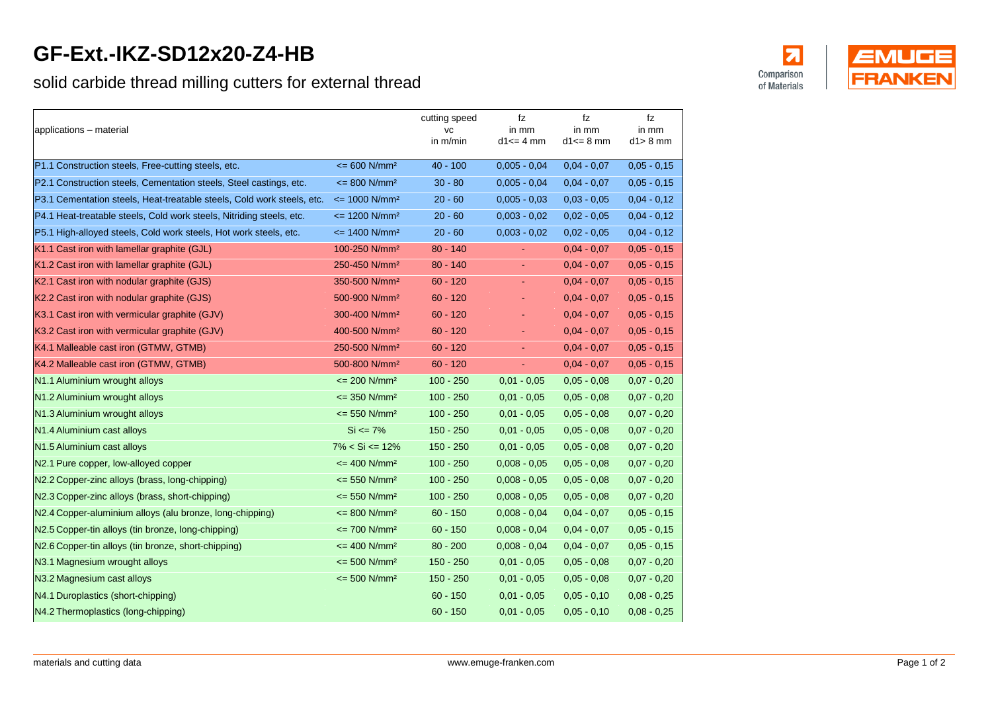## **GF-Ext.-IKZ-SD12x20-Z4-HB**

## solid carbide thread milling cutters for external thread

| applications - material                                                |                                     | cutting speed<br>VC<br>in m/min | fz<br>in mm<br>$d1 \leq 4$ mm | fz<br>in mm<br>$d1 \leq 8$ mm | fz<br>in mm<br>$d1 > 8$ mm |
|------------------------------------------------------------------------|-------------------------------------|---------------------------------|-------------------------------|-------------------------------|----------------------------|
| P1.1 Construction steels, Free-cutting steels, etc.                    | $\epsilon = 600 \text{ N/mm}^2$     | $40 - 100$                      | $0,005 - 0,04$                | $0,04 - 0,07$                 | $0,05 - 0,15$              |
| P2.1 Construction steels, Cementation steels, Steel castings, etc.     | $= 800$ N/mm <sup>2</sup>           | $30 - 80$                       | $0.005 - 0.04$                | $0.04 - 0.07$                 | $0,05 - 0,15$              |
| P3.1 Cementation steels, Heat-treatable steels, Cold work steels, etc. | $\epsilon$ = 1000 N/mm <sup>2</sup> | $20 - 60$                       | $0,005 - 0,03$                | $0,03 - 0,05$                 | $0,04 - 0,12$              |
| P4.1 Heat-treatable steels, Cold work steels, Nitriding steels, etc.   | $\le$ 1200 N/mm <sup>2</sup>        | $20 - 60$                       | $0.003 - 0.02$                | $0.02 - 0.05$                 | $0,04 - 0,12$              |
| P5.1 High-alloyed steels, Cold work steels, Hot work steels, etc.      | $\epsilon$ = 1400 N/mm <sup>2</sup> | $20 - 60$                       | $0,003 - 0,02$                | $0,02 - 0,05$                 | $0,04 - 0,12$              |
| K1.1 Cast iron with lamellar graphite (GJL)                            | 100-250 N/mm <sup>2</sup>           | $80 - 140$                      | $\blacksquare$                | $0,04 - 0,07$                 | $0,05 - 0,15$              |
| K1.2 Cast iron with lamellar graphite (GJL)                            | 250-450 N/mm <sup>2</sup>           | $80 - 140$                      | ÷.                            | $0.04 - 0.07$                 | $0,05 - 0,15$              |
| K2.1 Cast iron with nodular graphite (GJS)                             | 350-500 N/mm <sup>2</sup>           | $60 - 120$                      | ÷.                            | $0,04 - 0,07$                 | $0,05 - 0,15$              |
| K2.2 Cast iron with nodular graphite (GJS)                             | 500-900 N/mm <sup>2</sup>           | $60 - 120$                      | $\sim$                        | $0.04 - 0.07$                 | $0,05 - 0,15$              |
| K3.1 Cast iron with vermicular graphite (GJV)                          | 300-400 N/mm <sup>2</sup>           | $60 - 120$                      | $\omega$                      | $0.04 - 0.07$                 | $0,05 - 0,15$              |
| K3.2 Cast iron with vermicular graphite (GJV)                          | 400-500 N/mm <sup>2</sup>           | $60 - 120$                      | $\blacksquare$                | $0,04 - 0,07$                 | $0,05 - 0,15$              |
| K4.1 Malleable cast iron (GTMW, GTMB)                                  | 250-500 N/mm <sup>2</sup>           | $60 - 120$                      | $\sim$                        | $0.04 - 0.07$                 | $0,05 - 0,15$              |
| K4.2 Malleable cast iron (GTMW, GTMB)                                  | 500-800 N/mm <sup>2</sup>           | $60 - 120$                      | ÷.                            | $0.04 - 0.07$                 | $0,05 - 0,15$              |
| N1.1 Aluminium wrought alloys                                          | $\epsilon$ = 200 N/mm <sup>2</sup>  | $100 - 250$                     | $0.01 - 0.05$                 | $0.05 - 0.08$                 | $0,07 - 0,20$              |
| N1.2 Aluminium wrought alloys                                          | $\epsilon$ = 350 N/mm <sup>2</sup>  | $100 - 250$                     | $0,01 - 0,05$                 | $0,05 - 0,08$                 | $0,07 - 0,20$              |
| N1.3 Aluminium wrought alloys                                          | $\epsilon$ = 550 N/mm <sup>2</sup>  | $100 - 250$                     | $0,01 - 0,05$                 | $0,05 - 0,08$                 | $0,07 - 0,20$              |
| N1.4 Aluminium cast alloys                                             | $Si \le 7\%$                        | $150 - 250$                     | $0.01 - 0.05$                 | $0,05 - 0,08$                 | $0,07 - 0,20$              |
| N1.5 Aluminium cast alloys                                             | $7\% < Si \leq 12\%$                | $150 - 250$                     | $0,01 - 0,05$                 | $0,05 - 0,08$                 | $0,07 - 0,20$              |
| N2.1 Pure copper, low-alloyed copper                                   | $\epsilon$ = 400 N/mm <sup>2</sup>  | $100 - 250$                     | $0,008 - 0,05$                | $0,05 - 0,08$                 | $0,07 - 0,20$              |
| N2.2 Copper-zinc alloys (brass, long-chipping)                         | $\epsilon$ = 550 N/mm <sup>2</sup>  | $100 - 250$                     | $0,008 - 0,05$                | $0,05 - 0,08$                 | $0,07 - 0,20$              |
| N2.3 Copper-zinc alloys (brass, short-chipping)                        | $\epsilon$ = 550 N/mm <sup>2</sup>  | $100 - 250$                     | $0,008 - 0,05$                | $0,05 - 0,08$                 | $0,07 - 0,20$              |
| N2.4 Copper-aluminium alloys (alu bronze, long-chipping)               | $\epsilon$ = 800 N/mm <sup>2</sup>  | $60 - 150$                      | $0.008 - 0.04$                | $0.04 - 0.07$                 | $0,05 - 0,15$              |
| N2.5 Copper-tin alloys (tin bronze, long-chipping)                     | $\epsilon$ = 700 N/mm <sup>2</sup>  | $60 - 150$                      | $0,008 - 0,04$                | $0,04 - 0,07$                 | $0,05 - 0,15$              |
| N2.6 Copper-tin alloys (tin bronze, short-chipping)                    | $= 400$ N/mm <sup>2</sup>           | $80 - 200$                      | $0,008 - 0,04$                | $0,04 - 0,07$                 | $0,05 - 0,15$              |
| N3.1 Magnesium wrought alloys                                          | $\epsilon$ = 500 N/mm <sup>2</sup>  | $150 - 250$                     | $0,01 - 0,05$                 | $0,05 - 0,08$                 | $0,07 - 0,20$              |
| N3.2 Magnesium cast alloys                                             | $\epsilon$ = 500 N/mm <sup>2</sup>  | $150 - 250$                     | $0,01 - 0,05$                 | $0,05 - 0,08$                 | $0,07 - 0,20$              |
| N4.1 Duroplastics (short-chipping)                                     |                                     | $60 - 150$                      | $0.01 - 0.05$                 | $0.05 - 0.10$                 | $0,08 - 0,25$              |
| N4.2 Thermoplastics (long-chipping)                                    |                                     | $60 - 150$                      | $0,01 - 0,05$                 | $0,05 - 0,10$                 | $0,08 - 0,25$              |